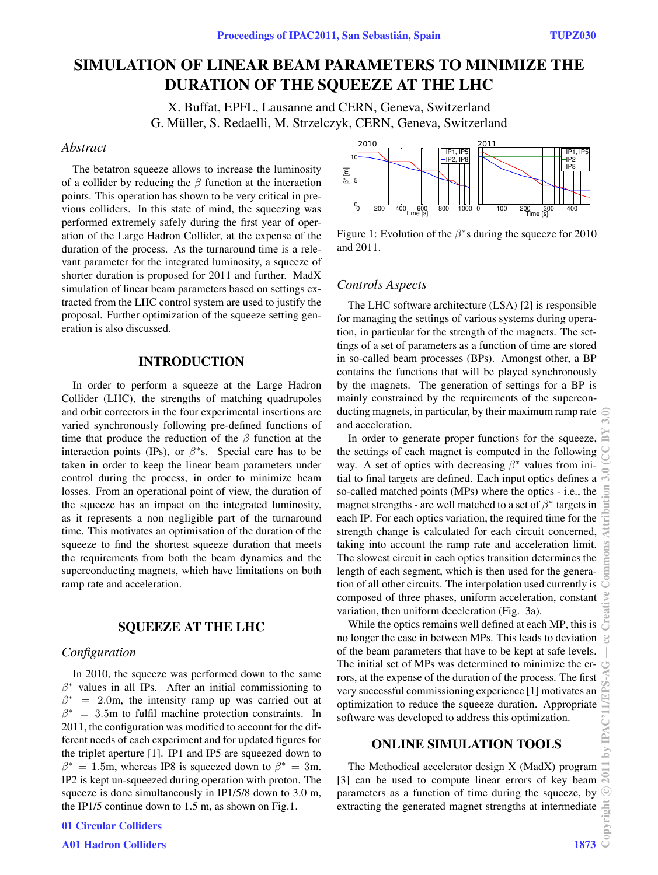# **SIMULATION OF LINEAR BEAM PARAMETERS TO MINIMIZE THE DURATION OF THE SQUEEZE AT THE LHC**

X. Buffat, EPFL, Lausanne and CERN, Geneva, Switzerland G. Müller, S. Redaelli, M. Strzelczyk, CERN, Geneva, Switzerland

## *Abstract*

The betatron squeeze allows to increase the luminosity of a collider by reducing the  $\beta$  function at the interaction points. This operation has shown to be very critical in previous colliders. In this state of mind, the squeezing was performed extremely safely during the first year of operation of the Large Hadron Collider, at the expense of the duration of the process. As the turnaround time is a relevant parameter for the integrated luminosity, a squeeze of shorter duration is proposed for 2011 and further. MadX simulation of linear beam parameters based on settings extracted from the LHC control system are used to justify the proposal. Further optimization of the squeeze setting generation is also discussed.

## **INTRODUCTION**

In order to perform a squeeze at the Large Hadron Collider (LHC), the strengths of matching quadrupoles and orbit correctors in the four experimental insertions are varied synchronously following pre-defined functions of time that produce the reduction of the  $\beta$  function at the interaction points (IPs), or  $\beta$ <sup>\*</sup>s. Special care has to be taken in order to keep the linear beam parameters under control during the process, in order to minimize beam losses. From an operational point of view, the duration of the squeeze has an impact on the integrated luminosity, as it represents a non negligible part of the turnaround time. This motivates an optimisation of the duration of the squeeze to find the shortest squeeze duration that meets the requirements from both the beam dynamics and the superconducting magnets, which have limitations on both ramp rate and acceleration.

#### **SQUEEZE AT THE LHC**

## *Configuration*

In 2010, the squeeze was performed down to the same  $\beta^*$  values in all IPs. After an initial commissioning to  $\beta^*$  = 2.0m, the intensity ramp up was carried out at  $\beta^* = 3.5$ m to fulfil machine protection constraints. In 2011, the configuration was modified to account for the different needs of each experiment and for updated figures for the triplet aperture [1]. IP1 and IP5 are squeezed down to  $\beta^* = 1.5$ m, whereas IP8 is squeezed down to  $\beta^* = 3$ m. IP2 is kept un-squeezed during operation with proton. The squeeze is done simultaneously in IP1/5/8 down to 3.0 m, the IP1/5 continue down to 1.5 m, as shown on Fig.1.





Figure 1: Evolution of the  $\beta$ <sup>\*</sup>s during the squeeze for 2010 and 2011.

## *Controls Aspects*

The LHC software architecture (LSA) [2] is responsible for managing the settings of various systems during operation, in particular for the strength of the magnets. The settings of a set of parameters as a function of time are stored in so-called beam processes (BPs). Amongst other, a BP contains the functions that will be played synchronously by the magnets. The generation of settings for a BP is mainly constrained by the requirements of the superconducting magnets, in particular, by their maximum ramp rate  $\widehat{\mathcal{C}}$ and acceleration.

In order to generate proper functions for the squeeze, the settings of each magnet is computed in the following way. A set of optics with decreasing  $\beta^*$  values from initial to final targets are defined. Each input optics defines a so-called matched points (MPs) where the optics - i.e., the magnet strengths - are well matched to a set of  $\beta^*$  targets in each IP. For each optics variation, the required time for the strength change is calculated for each circuit concerned, taking into account the ramp rate and acceleration limit. The slowest circuit in each optics transition determines the length of each segment, which is then used for the generation of all other circuits. The interpolation used currently is composed of three phases, uniform acceleration, constant variation, then uniform deceleration (Fig. 3a).

riation, then uniform deceleration (Fig. 3a).<br>While the optics remains well defined at each MP, this is  $\overline{S}$ no longer the case in between MPs. This leads to deviation of the beam parameters that have to be kept at safe levels. The initial set of MPs was determined to minimize the errors, at the expense of the duration of the process. The first very successful commissioning experience [1] motivates an optimization to reduce the squeeze duration. Appropriate software was developed to address this optimization.

## **ONLINE SIMULATION TOOLS**

The Methodical accelerator design X (MadX) program [3] can be used to compute linear errors of key beam parameters as a function of time during the squeeze, by extracting the generated magnet strengths at intermediate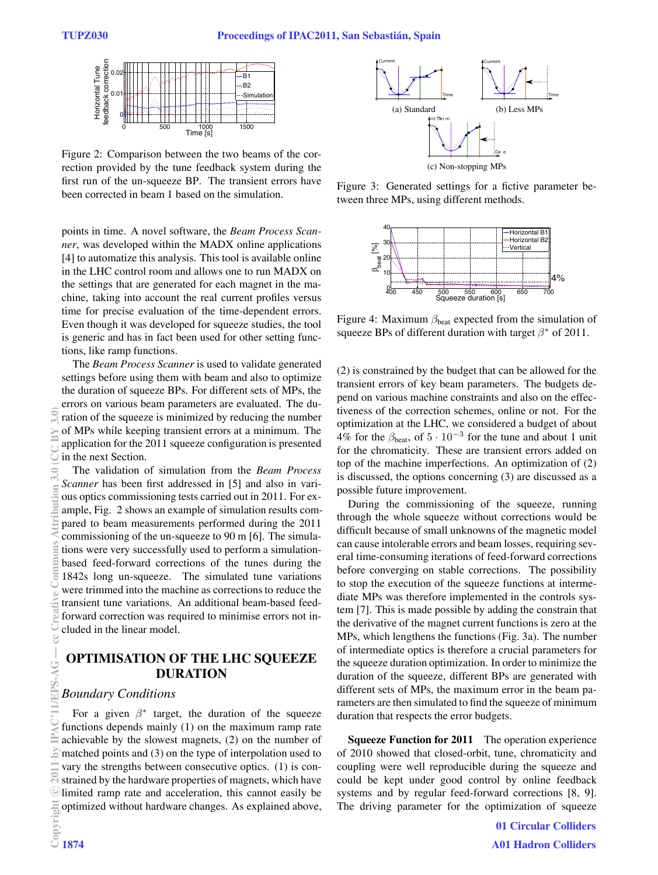

Figure 2: Comparison between the two beams of the correction provided by the tune feedback system during the first run of the un-squeeze BP. The transient errors have been corrected in beam 1 based on the simulation.

points in time. A novel software, the *Beam Process Scanner*, was developed within the MADX online applications [4] to automatize this analysis. This tool is available online in the LHC control room and allows one to run MADX on the settings that are generated for each magnet in the machine, taking into account the real current profiles versus time for precise evaluation of the time-dependent errors. Even though it was developed for squeeze studies, the tool is generic and has in fact been used for other setting functions, like ramp functions.

The *Beam Process Scanner* is used to validate generated settings before using them with beam and also to optimize the duration of squeeze BPs. For different sets of MPs, the errors on various beam parameters are evaluated. The duration of the squeeze is minimized by reducing the number of MPs while keeping transient errors at a minimum. The application for the 2011 squeeze configuration is presented in the next Section.

The validation of simulation from the *Beam Process Scanner* has been first addressed in [5] and also in various optics commissioning tests carried out in 2011. For example, Fig. 2 shows an example of simulation results compared to beam measurements performed during the 2011 commissioning of the un-squeeze to 90 m [6]. The simulations were very successfully used to perform a simulationbased feed-forward corrections of the tunes during the 1842s long un-squeeze. The simulated tune variations were trimmed into the machine as corrections to reduce the transient tune variations. An additional beam-based feedforward correction was required to minimise errors not included in the linear model.

## **OPTIMISATION OF THE LHC SQUEEZE DURATION**

#### *Boundary Conditions*

For a given  $\beta^*$  target, the duration of the squeeze functions depends mainly (1) on the maximum ramp rate achievable by the slowest magnets, (2) on the number of matched points and (3) on the type of interpolation used to vary the strengths between consecutive optics. (1) is constrained by the hardware properties of magnets, which have limited ramp rate and acceleration, this cannot easily be Equinized without hardware changes. As explained above,<br>  $\frac{1}{2}$ <br>  $\frac{1}{2}$  1874



Figure 3: Generated settings for a fictive parameter between three MPs, using different methods.



Figure 4: Maximum  $\beta_{\text{beat}}$  expected from the simulation of squeeze BPs of different duration with target  $\beta^*$  of 2011.

(2) is constrained by the budget that can be allowed for the transient errors of key beam parameters. The budgets depend on various machine constraints and also on the effectiveness of the correction schemes, online or not. For the optimization at the LHC, we considered a budget of about 4% for the  $\beta_{\text{beat}}$ , of  $5 \cdot 10^{-3}$  for the tune and about 1 unit for the chromaticity. These are transient errors added on top of the machine imperfections. An optimization of (2) is discussed, the options concerning (3) are discussed as a possible future improvement.

During the commissioning of the squeeze, running through the whole squeeze without corrections would be difficult because of small unknowns of the magnetic model can cause intolerable errors and beam losses, requiring several time-consuming iterations of feed-forward corrections before converging on stable corrections. The possibility to stop the execution of the squeeze functions at intermediate MPs was therefore implemented in the controls system [7]. This is made possible by adding the constrain that the derivative of the magnet current functions is zero at the MPs, which lengthens the functions (Fig. 3a). The number of intermediate optics is therefore a crucial parameters for the squeeze duration optimization. In order to minimize the duration of the squeeze, different BPs are generated with different sets of MPs, the maximum error in the beam parameters are then simulated to find the squeeze of minimum duration that respects the error budgets.

**Squeeze Function for 2011** The operation experience of 2010 showed that closed-orbit, tune, chromaticity and coupling were well reproducible during the squeeze and could be kept under good control by online feedback systems and by regular feed-forward corrections [8, 9]. The driving parameter for the optimization of squeeze

> 01 Circular Colliders A01 Hadron Colliders